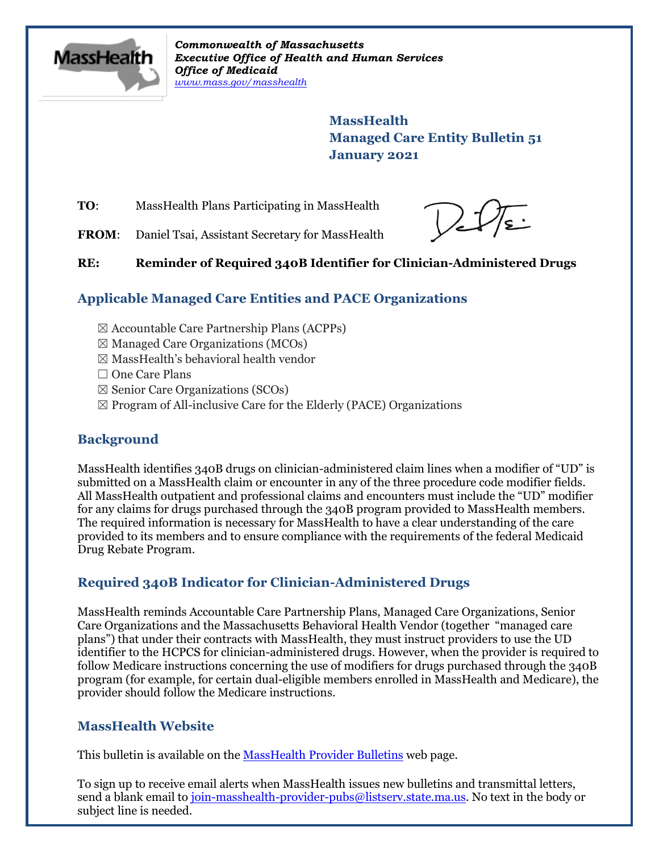

*Commonwealth of Massachusetts Executive Office of Health and Human Services Office of Medicaid [www.mass.gov/masshealth](http://www.mass.gov/masshealth)*

> **MassHealth Managed Care Entity Bulletin 51 January 2021**

**TO**: MassHealth Plans Participating in MassHealth

FROM: Daniel Tsai, Assistant Secretary for MassHealth

Delfe

#### **RE: Reminder of Required 340B Identifier for Clinician-Administered Drugs**

## **Applicable Managed Care Entities and PACE Organizations**

- $\boxtimes$  Accountable Care Partnership Plans (ACPPs)
- $\boxtimes$  Managed Care Organizations (MCOs)
- ☒ MassHealth's behavioral health vendor
- □ One Care Plans
- ☒ Senior Care Organizations (SCOs)
- $\boxtimes$  Program of All-inclusive Care for the Elderly (PACE) Organizations

### **Background**

MassHealth identifies 340B drugs on clinician-administered claim lines when a modifier of "UD" is submitted on a MassHealth claim or encounter in any of the three procedure code modifier fields. All MassHealth outpatient and professional claims and encounters must include the "UD" modifier for any claims for drugs purchased through the 340B program provided to MassHealth members. The required information is necessary for MassHealth to have a clear understanding of the care provided to its members and to ensure compliance with the requirements of the federal Medicaid Drug Rebate Program.

### **Required 340B Indicator for Clinician-Administered Drugs**

MassHealth reminds Accountable Care Partnership Plans, Managed Care Organizations, Senior Care Organizations and the Massachusetts Behavioral Health Vendor (together "managed care plans") that under their contracts with MassHealth, they must instruct providers to use the UD identifier to the HCPCS for clinician-administered drugs. However, when the provider is required to follow Medicare instructions concerning the use of modifiers for drugs purchased through the 340B program (for example, for certain dual-eligible members enrolled in MassHealth and Medicare), the provider should follow the Medicare instructions.

### **MassHealth Website**

This bulletin is available on th[e MassHealth Provider Bulletins](http://www.mass.gov/masshealth-provider-bulletins) web page.

To sign up to receive email alerts when MassHealth issues new bulletins and transmittal letters, send a blank email to [join-masshealth-provider-pubs@listserv.state.ma.us.](mailto:join-masshealth-provider-pubs@listserv.state.ma.us) No text in the body or subject line is needed.